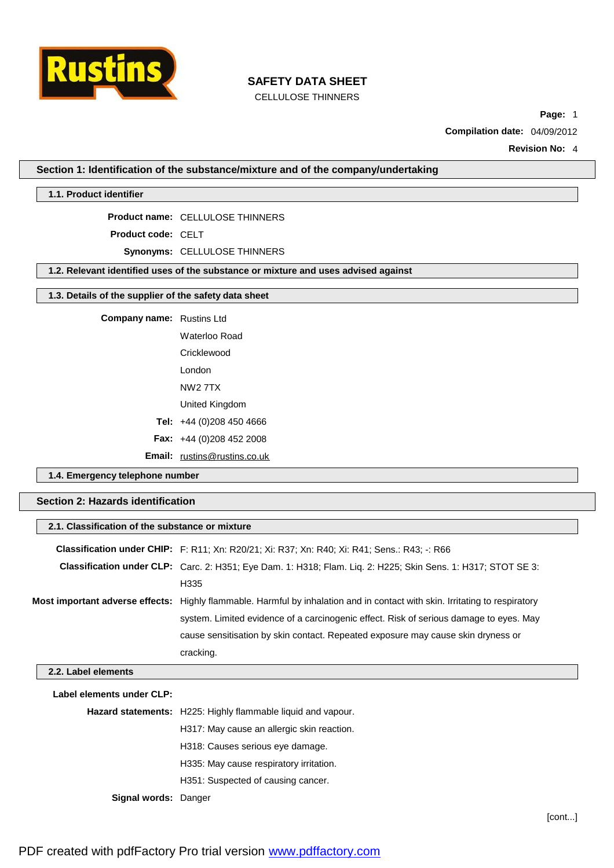

CELLULOSE THINNERS

**Page:** 1

**Compilation date:** 04/09/2012

**Revision No:** 4

**Section 1: Identification of the substance/mixture and of the company/undertaking**

**1.1. Product identifier**

**Product name:** CELLULOSE THINNERS

**Product code:** CELT

**Synonyms:** CELLULOSE THINNERS

**1.2. Relevant identified uses of the substance or mixture and uses advised against**

### **1.3. Details of the supplier of the safety data sheet**

**Company name:** Rustins Ltd

Waterloo Road **Cricklewood** 

London

NW2 7TX United Kingdom

**Tel:** +44 (0)208 450 4666

**Fax:** +44 (0)208 452 2008

**Email:** [rustins@rustins.co.uk](mailto:rustins@rustins.co.uk)

**1.4. Emergency telephone number**

**Section 2: Hazards identification**

| 2.1. Classification of the substance or mixture |                                                                                                                             |  |  |
|-------------------------------------------------|-----------------------------------------------------------------------------------------------------------------------------|--|--|
|                                                 | <b>Classification under CHIP:</b> F: R11; Xn: R20/21; Xi: R37; Xn: R40; Xi: R41; Sens.: R43; -: R66                         |  |  |
|                                                 | <b>Classification under CLP:</b> Carc. 2: H351; Eye Dam. 1: H318; Flam. Liq. 2: H225; Skin Sens. 1: H317; STOT SE 3:        |  |  |
|                                                 | H335                                                                                                                        |  |  |
|                                                 | Most important adverse effects: Highly flammable. Harmful by inhalation and in contact with skin. Irritating to respiratory |  |  |
|                                                 | system. Limited evidence of a carcinogenic effect. Risk of serious damage to eyes. May                                      |  |  |
|                                                 | cause sensitisation by skin contact. Repeated exposure may cause skin dryness or                                            |  |  |
|                                                 | cracking.                                                                                                                   |  |  |
| 2.2. Label elements                             |                                                                                                                             |  |  |
| Label elements under CLP:                       |                                                                                                                             |  |  |
|                                                 | Hazard statements: H225: Highly flammable liquid and vapour.                                                                |  |  |
|                                                 | H317: May cause an allergic skin reaction.                                                                                  |  |  |
|                                                 | H318: Causes serious eye damage.                                                                                            |  |  |
|                                                 | H335: May cause respiratory irritation.                                                                                     |  |  |
|                                                 | H351: Suspected of causing cancer.                                                                                          |  |  |

**Signal words:** Danger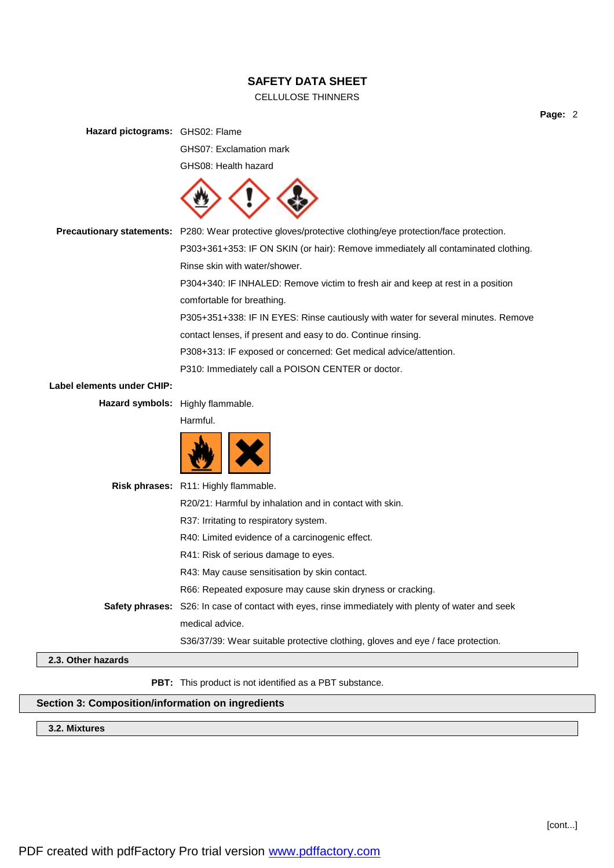# CELLULOSE THINNERS

**Page:** 2

| Hazard pictograms: GHS02: Flame |                                                                                                            |  |  |  |
|---------------------------------|------------------------------------------------------------------------------------------------------------|--|--|--|
|                                 | GHS07: Exclamation mark                                                                                    |  |  |  |
|                                 | GHS08: Health hazard                                                                                       |  |  |  |
|                                 |                                                                                                            |  |  |  |
|                                 | Precautionary statements: P280: Wear protective gloves/protective clothing/eye protection/face protection. |  |  |  |
|                                 | P303+361+353: IF ON SKIN (or hair): Remove immediately all contaminated clothing.                          |  |  |  |
|                                 | Rinse skin with water/shower.                                                                              |  |  |  |
|                                 | P304+340: IF INHALED: Remove victim to fresh air and keep at rest in a position                            |  |  |  |
|                                 | comfortable for breathing.                                                                                 |  |  |  |
|                                 | P305+351+338: IF IN EYES: Rinse cautiously with water for several minutes. Remove                          |  |  |  |
|                                 | contact lenses, if present and easy to do. Continue rinsing.                                               |  |  |  |
|                                 | P308+313: IF exposed or concerned: Get medical advice/attention.                                           |  |  |  |
|                                 | P310: Immediately call a POISON CENTER or doctor.                                                          |  |  |  |
| Label elements under CHIP:      |                                                                                                            |  |  |  |
|                                 | Hazard symbols: Highly flammable.                                                                          |  |  |  |
|                                 | Harmful.                                                                                                   |  |  |  |
|                                 |                                                                                                            |  |  |  |
|                                 | Risk phrases: R11: Highly flammable.                                                                       |  |  |  |
|                                 | R20/21: Harmful by inhalation and in contact with skin.                                                    |  |  |  |
|                                 | R37: Irritating to respiratory system.                                                                     |  |  |  |
|                                 | R40: Limited evidence of a carcinogenic effect.                                                            |  |  |  |
|                                 | R41: Risk of serious damage to eyes.                                                                       |  |  |  |
|                                 | R43: May cause sensitisation by skin contact.                                                              |  |  |  |
|                                 | R66: Repeated exposure may cause skin dryness or cracking.                                                 |  |  |  |
|                                 | Safety phrases: S26: In case of contact with eyes, rinse immediately with plenty of water and seek         |  |  |  |
|                                 | medical advice.                                                                                            |  |  |  |
|                                 | S36/37/39: Wear suitable protective clothing, gloves and eye / face protection.                            |  |  |  |
| 2.3. Other hazards              |                                                                                                            |  |  |  |
|                                 | PBT: This product is not identified as a PBT substance.                                                    |  |  |  |
|                                 | Section 3: Composition/information on ingredients                                                          |  |  |  |

**3.2. Mixtures**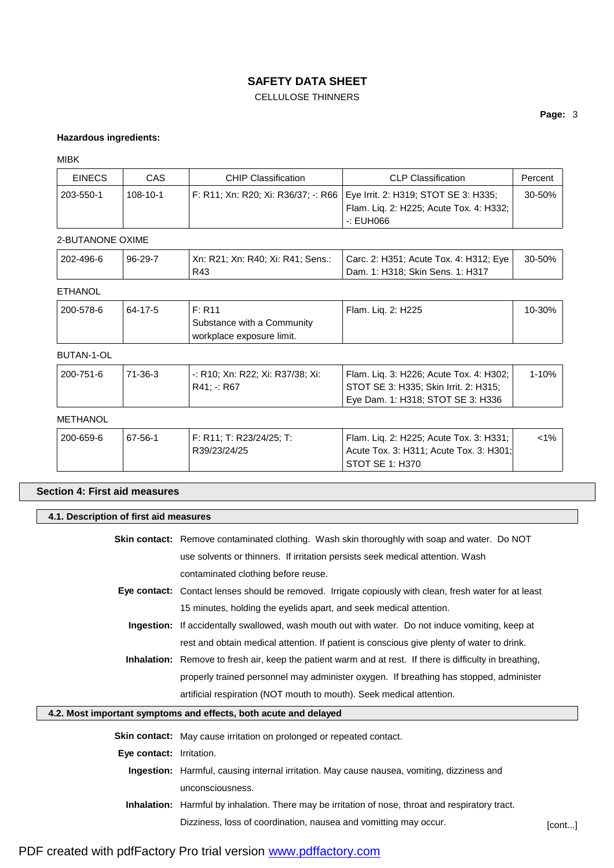# CELLULOSE THINNERS

## **Page:** 3

#### **Hazardous ingredients:**

#### MIBK

| <b>EINECS</b> | CAS            | <b>CHIP Classification</b> | <b>CLP Classification</b>                                                  | Percent     |
|---------------|----------------|----------------------------|----------------------------------------------------------------------------|-------------|
| ' 203-550-1   | $108 - 10 - 1$ |                            | F: R11; Xn: R20; Xi: R36/37; -: R66   Eye Irrit. 2: H319; STOT SE 3: H335; | $30 - 50\%$ |
|               |                |                            | Flam. Lig. 2: H225; Acute Tox. 4: H332;                                    |             |
|               |                |                            | -: EUH066                                                                  |             |

#### 2-BUTANONE OXIME

| 202-496-6 | 96-29-7 | Xn: R21; Xn: R40; Xi: R41; Sens.: | Carc. 2: H351; Acute Tox. 4: H312; Eye | 30-50% |
|-----------|---------|-----------------------------------|----------------------------------------|--------|
|           |         | R43                               | Dam. 1: H318; Skin Sens. 1: H317       |        |

# ETHANOL

| 200-578-6 | 64-17-5 | F: R11                     | Flam. Lig. 2: H225 | 10-30% |
|-----------|---------|----------------------------|--------------------|--------|
|           |         | Substance with a Community |                    |        |
|           |         | workplace exposure limit.  |                    |        |

## BUTAN-1-OL

| <b>METHANOL</b> |         |                                                 |                                                                                  |       |
|-----------------|---------|-------------------------------------------------|----------------------------------------------------------------------------------|-------|
|                 |         |                                                 | Eye Dam. 1: H318; STOT SE 3: H336                                                |       |
| 200-751-6       | 71-36-3 | -: R10; Xn: R22; Xi: R37/38; Xi:<br>R41: -: R67 | Flam. Lig. 3: H226; Acute Tox. 4: H302;<br>STOT SE 3: H335; Skin Irrit. 2: H315; | 1-10% |
|                 |         |                                                 |                                                                                  |       |

| 200-659-6 | 67-56-1 | F: R11: T: R23/24/25: T: | Flam. Lig. 2: H225; Acute Tox. 3: H331; | 1%> |
|-----------|---------|--------------------------|-----------------------------------------|-----|
|           |         | R39/23/24/25             | Acute Tox. 3: H311; Acute Tox. 3: H301; |     |
|           |         |                          | STOT SE 1: H370                         |     |

# **Section 4: First aid measures**

## **4.1. Description of first aid measures**

| <b>Skin contact:</b> Remove contaminated clothing. Wash skin thoroughly with soap and water. Do NOT           |
|---------------------------------------------------------------------------------------------------------------|
| use solvents or thinners. If irritation persists seek medical attention. Wash                                 |
| contaminated clothing before reuse.                                                                           |
| <b>Eye contact:</b> Contact lenses should be removed. Irrigate copiously with clean, fresh water for at least |

- 15 minutes, holding the eyelids apart, and seek medical attention. **Ingestion:** If accidentally swallowed, wash mouth out with water. Do not induce vomiting, keep at
	- rest and obtain medical attention. If patient is conscious give plenty of water to drink.
- **Inhalation:** Remove to fresh air, keep the patient warm and at rest. If there is difficulty in breathing, properly trained personnel may administer oxygen. If breathing has stopped, administer artificial respiration (NOT mouth to mouth). Seek medical attention.

### **4.2. Most important symptoms and effects, both acute and delayed**

**Skin contact:** May cause irritation on prolonged or repeated contact.

- **Eye contact:** Irritation.
	- **Ingestion:** Harmful, causing internal irritation. May cause nausea, vomiting, dizziness and unconsciousness.
	- **Inhalation:** Harmful by inhalation. There may be irritation of nose, throat and respiratory tract. Dizziness, loss of coordination, nausea and vomitting may occur.<br>[cont...]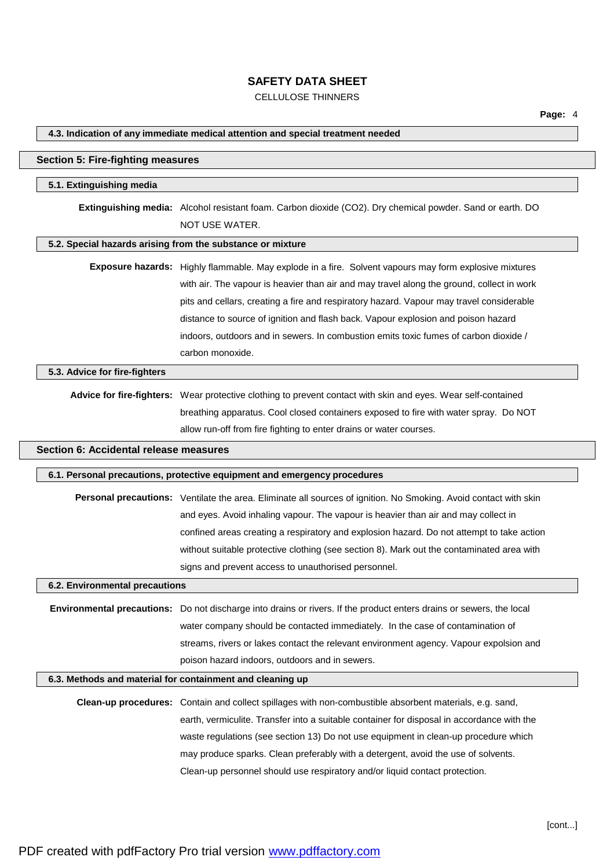# CELLULOSE THINNERS

| 4.3. Indication of any immediate medical attention and special treatment needed |                                                                                                                             |  |  |
|---------------------------------------------------------------------------------|-----------------------------------------------------------------------------------------------------------------------------|--|--|
| <b>Section 5: Fire-fighting measures</b>                                        |                                                                                                                             |  |  |
| 5.1. Extinguishing media                                                        |                                                                                                                             |  |  |
|                                                                                 | Extinguishing media: Alcohol resistant foam. Carbon dioxide (CO2). Dry chemical powder. Sand or earth. DO<br>NOT USE WATER. |  |  |
|                                                                                 | 5.2. Special hazards arising from the substance or mixture                                                                  |  |  |
|                                                                                 | Exposure hazards: Highly flammable. May explode in a fire. Solvent vapours may form explosive mixtures                      |  |  |
|                                                                                 | with air. The vapour is heavier than air and may travel along the ground, collect in work                                   |  |  |
|                                                                                 | pits and cellars, creating a fire and respiratory hazard. Vapour may travel considerable                                    |  |  |
|                                                                                 | distance to source of ignition and flash back. Vapour explosion and poison hazard                                           |  |  |
|                                                                                 | indoors, outdoors and in sewers. In combustion emits toxic fumes of carbon dioxide /                                        |  |  |
|                                                                                 | carbon monoxide.                                                                                                            |  |  |
| 5.3. Advice for fire-fighters                                                   |                                                                                                                             |  |  |
|                                                                                 | Advice for fire-fighters: Wear protective clothing to prevent contact with skin and eyes. Wear self-contained               |  |  |
|                                                                                 | breathing apparatus. Cool closed containers exposed to fire with water spray. Do NOT                                        |  |  |
|                                                                                 | allow run-off from fire fighting to enter drains or water courses.                                                          |  |  |
| Section 6: Accidental release measures                                          |                                                                                                                             |  |  |
|                                                                                 | 6.1. Personal precautions, protective equipment and emergency procedures                                                    |  |  |
|                                                                                 | Personal precautions: Ventilate the area. Eliminate all sources of ignition. No Smoking. Avoid contact with skin            |  |  |
|                                                                                 | and eyes. Avoid inhaling vapour. The vapour is heavier than air and may collect in                                          |  |  |
|                                                                                 | confined areas creating a respiratory and explosion hazard. Do not attempt to take action                                   |  |  |
|                                                                                 | without suitable protective clothing (see section 8). Mark out the contaminated area with                                   |  |  |
|                                                                                 | signs and prevent access to unauthorised personnel.                                                                         |  |  |
| 6.2. Environmental precautions                                                  |                                                                                                                             |  |  |
|                                                                                 | Environmental precautions: Do not discharge into drains or rivers. If the product enters drains or sewers, the local        |  |  |
|                                                                                 | water company should be contacted immediately. In the case of contamination of                                              |  |  |
|                                                                                 | streams, rivers or lakes contact the relevant environment agency. Vapour expolsion and                                      |  |  |
|                                                                                 | poison hazard indoors, outdoors and in sewers.                                                                              |  |  |
|                                                                                 | 6.3. Methods and material for containment and cleaning up                                                                   |  |  |
|                                                                                 | Clean-up procedures: Contain and collect spillages with non-combustible absorbent materials, e.g. sand,                     |  |  |
|                                                                                 | earth, vermiculite. Transfer into a suitable container for disposal in accordance with the                                  |  |  |
|                                                                                 | waste regulations (see section 13) Do not use equipment in clean-up procedure which                                         |  |  |
|                                                                                 | may produce sparks. Clean preferably with a detergent, avoid the use of solvents.                                           |  |  |
|                                                                                 | Clean-up personnel should use respiratory and/or liquid contact protection.                                                 |  |  |
|                                                                                 |                                                                                                                             |  |  |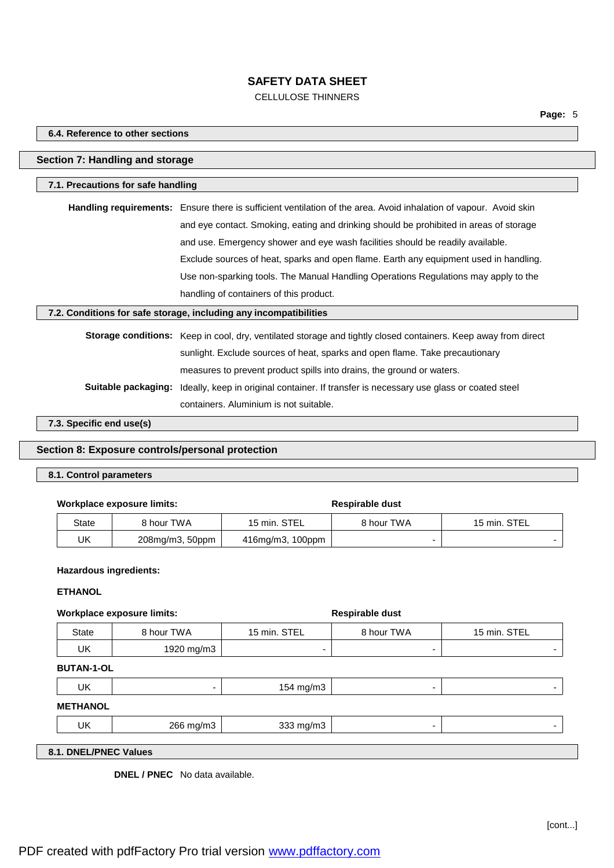# CELLULOSE THINNERS

#### **6.4. Reference to other sections**

#### **Section 7: Handling and storage**

#### **7.1. Precautions for safe handling**

**Handling requirements:** Ensure there is sufficient ventilation of the area. Avoid inhalation of vapour. Avoid skin and eye contact. Smoking, eating and drinking should be prohibited in areas of storage and use. Emergency shower and eye wash facilities should be readily available. Exclude sources of heat, sparks and open flame. Earth any equipment used in handling. Use non-sparking tools. The Manual Handling Operations Regulations may apply to the handling of containers of this product.

#### **7.2. Conditions for safe storage, including any incompatibilities**

**Storage conditions:** Keep in cool, dry, ventilated storage and tightly closed containers. Keep away from direct sunlight. Exclude sources of heat, sparks and open flame. Take precautionary measures to prevent product spills into drains, the ground or waters. **Suitable packaging:** Ideally, keep in original container. If transfer is necessary use glass or coated steel containers. Aluminium is not suitable.

**7.3. Specific end use(s)**

### **Section 8: Exposure controls/personal protection**

#### **8.1. Control parameters**

#### **Workplace exposure limits: Respirable dust**

| State | 8 hour TWA             | 15 min. STEL     | 8 hour TWA | 15 min. STEL |
|-------|------------------------|------------------|------------|--------------|
| UK    | $208$ mg/m $3, 50$ ppm | 416mg/m3, 100ppm |            |              |

#### **Hazardous ingredients:**

### **ETHANOL**

#### **Workplace exposure limits: Respirable dust**

| State | 3 hour TWA | 15 min. STEL | 8 hour TWA | 15 min. STEL |
|-------|------------|--------------|------------|--------------|
| UK    | 1920 mg/m3 | -            | -          |              |

#### **BUTAN-1-OL**

| UK              | - | 154 mg/m3 | - |  |
|-----------------|---|-----------|---|--|
| <b>METHANOL</b> |   |           |   |  |

| UK | 266<br>$-2 - 1 - 1$<br>ь | $\sim$<br>$-2 - 2$<br>novnis |  |
|----|--------------------------|------------------------------|--|
|    |                          |                              |  |

## **8.1. DNEL/PNEC Values**

**DNEL / PNEC** No data available.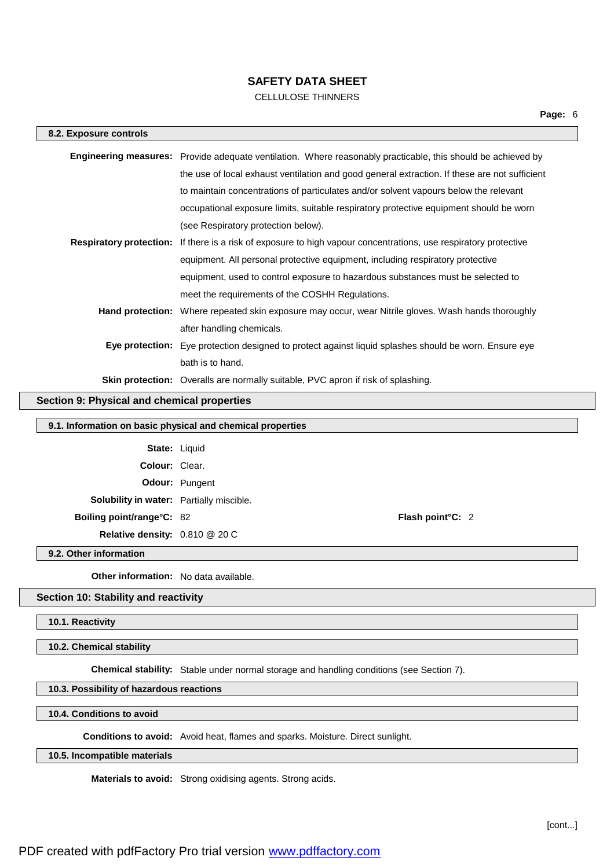# CELLULOSE THINNERS

| 8.2. Exposure controls |                                                                                                                         |
|------------------------|-------------------------------------------------------------------------------------------------------------------------|
|                        | <b>Engineering measures:</b> Provide adequate ventilation. Where reasonably practicable, this should be achieved by     |
|                        | the use of local exhaust ventilation and good general extraction. If these are not sufficient                           |
|                        | to maintain concentrations of particulates and/or solvent vapours below the relevant                                    |
|                        | occupational exposure limits, suitable respiratory protective equipment should be worn                                  |
|                        | (see Respiratory protection below).                                                                                     |
|                        | <b>Respiratory protection:</b> If there is a risk of exposure to high vapour concentrations, use respiratory protective |
|                        | equipment. All personal protective equipment, including respiratory protective                                          |
|                        | equipment, used to control exposure to hazardous substances must be selected to                                         |
|                        | meet the requirements of the COSHH Regulations.                                                                         |
|                        | Hand protection: Where repeated skin exposure may occur, wear Nitrile gloves. Wash hands thoroughly                     |
|                        | after handling chemicals.                                                                                               |
|                        | Eye protection: Eye protection designed to protect against liquid splashes should be worn. Ensure eye                   |
|                        | bath is to hand.                                                                                                        |
|                        | <b>Skin protection:</b> Overalls are normally suitable, PVC apron if risk of splashing.                                 |

# **Section 9: Physical and chemical properties**

### **9.1. Information on basic physical and chemical properties**

| <b>State: Liquid</b>                     |                       |                         |  |
|------------------------------------------|-----------------------|-------------------------|--|
| <b>Colour: Clear.</b>                    |                       |                         |  |
|                                          | <b>Odour:</b> Pungent |                         |  |
| Solubility in water: Partially miscible. |                       |                         |  |
| Boiling point/range°C: 82                |                       | <b>Flash point C: 2</b> |  |
| Relative density: 0.810 @ 20 C           |                       |                         |  |

**9.2. Other information**

**Other information:** No data available.

## **Section 10: Stability and reactivity**

**10.1. Reactivity**

**10.2. Chemical stability**

**Chemical stability:** Stable under normal storage and handling conditions (see Section 7).

## **10.3. Possibility of hazardous reactions**

**10.4. Conditions to avoid**

**Conditions to avoid:** Avoid heat, flames and sparks. Moisture. Direct sunlight.

## **10.5. Incompatible materials**

**Materials to avoid:** Strong oxidising agents. Strong acids.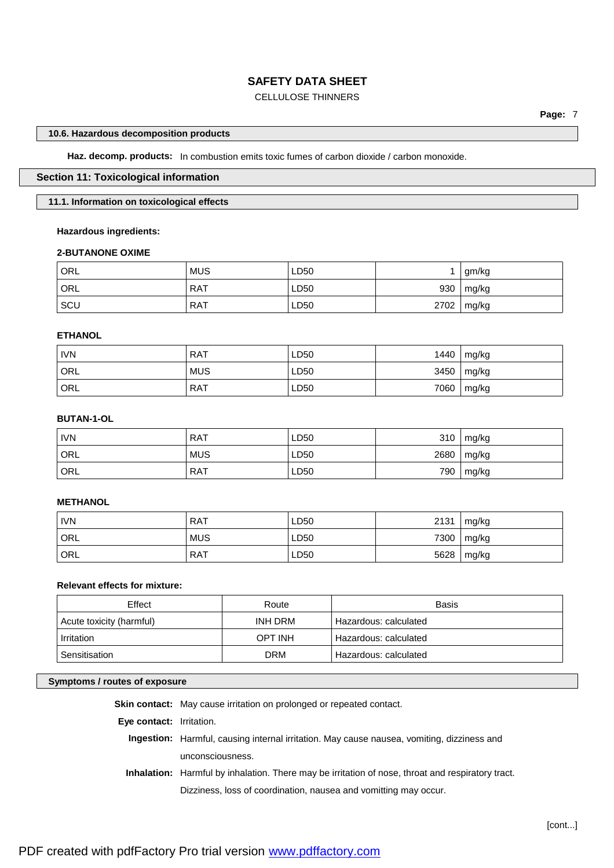# CELLULOSE THINNERS

#### **10.6. Hazardous decomposition products**

**Haz. decomp. products:** In combustion emits toxic fumes of carbon dioxide / carbon monoxide.

# **Section 11: Toxicological information**

#### **11.1. Information on toxicological effects**

#### **Hazardous ingredients:**

#### **2-BUTANONE OXIME**

| ORL        | <b>MUS</b> | LD50 |      | gm/kg |
|------------|------------|------|------|-------|
| ORL        | <b>RAT</b> | LD50 | 930  | mg/kg |
| <b>SCU</b> | <b>RAT</b> | LD50 | 2702 | mg/kg |

#### **ETHANOL**

| <b>IVN</b>       | <b>RAT</b> | LD50 | 1440 | mg/kg |
|------------------|------------|------|------|-------|
| ORL              | <b>MUS</b> | LD50 | 3450 | mg/kg |
| ORL <sup>'</sup> | <b>RAT</b> | LD50 | 7060 | mg/kg |

## **BUTAN-1-OL**

| <b>IVN</b> | <b>RAT</b> | LD50 | 310  | mg/kg |
|------------|------------|------|------|-------|
| ORL        | <b>MUS</b> | LD50 | 2680 | mg/kg |
| ' ORL      | <b>RAT</b> | LD50 | 790  | mg/kg |

# **METHANOL**

| <b>IVN</b> | <b>RAT</b> | LD50 | 2131 | mg/kg |
|------------|------------|------|------|-------|
| ' ORL      | <b>MUS</b> | LD50 | 7300 | mg/kg |
| ' ORL      | <b>RAT</b> | LD50 | 5628 | mg/kg |

# **Relevant effects for mixture:**

| Effect                              | Route      | Basis                 |
|-------------------------------------|------------|-----------------------|
| Acute toxicity (harmful)<br>INH DRM |            | Hazardous: calculated |
| <b>OPT INH</b><br>Irritation        |            | Hazardous: calculated |
| Sensitisation                       | <b>DRM</b> | Hazardous: calculated |

## **Symptoms / routes of exposure**

**Skin contact:** May cause irritation on prolonged or repeated contact.

**Eye contact:** Irritation.

**Ingestion:** Harmful, causing internal irritation. May cause nausea, vomiting, dizziness and unconsciousness.

**Inhalation:** Harmful by inhalation. There may be irritation of nose, throat and respiratory tract. Dizziness, loss of coordination, nausea and vomitting may occur.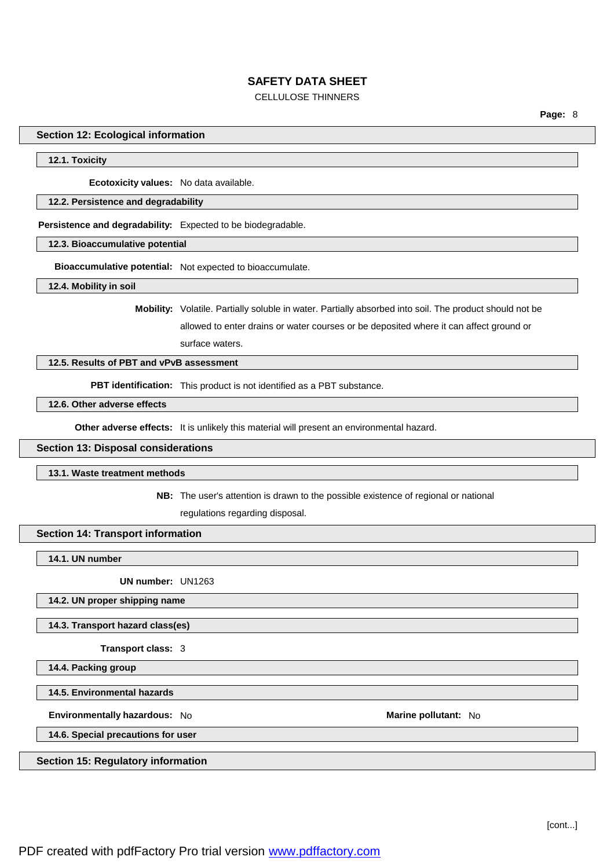## CELLULOSE THINNERS

**Page:** 8

#### **Section 12: Ecological information**

#### **12.1. Toxicity**

**Ecotoxicity values:** No data available.

#### **12.2. Persistence and degradability**

**Persistence and degradability:** Expected to be biodegradable.

**12.3. Bioaccumulative potential**

**Bioaccumulative potential:** Not expected to bioaccumulate.

**12.4. Mobility in soil**

**Mobility:** Volatile. Partially soluble in water. Partially absorbed into soil. The product should not be allowed to enter drains or water courses or be deposited where it can affect ground or surface waters.

## **12.5. Results of PBT and vPvB assessment**

**PBT identification:** This product is not identified as a PBT substance.

### **12.6. Other adverse effects**

**Other adverse effects:** It is unlikely this material will present an environmental hazard.

#### **Section 13: Disposal considerations**

#### **13.1. Waste treatment methods**

**NB:** The user's attention is drawn to the possible existence of regional or national

regulations regarding disposal.

### **Section 14: Transport information**

**14.1. UN number**

**UN number:** UN1263

#### **14.2. UN proper shipping name**

## **14.3. Transport hazard class(es)**

**Transport class:** 3

**14.4. Packing group**

**14.5. Environmental hazards**

**Environmentally hazardous:** No **Marine pollutant:** No

**14.6. Special precautions for user**

#### **Section 15: Regulatory information**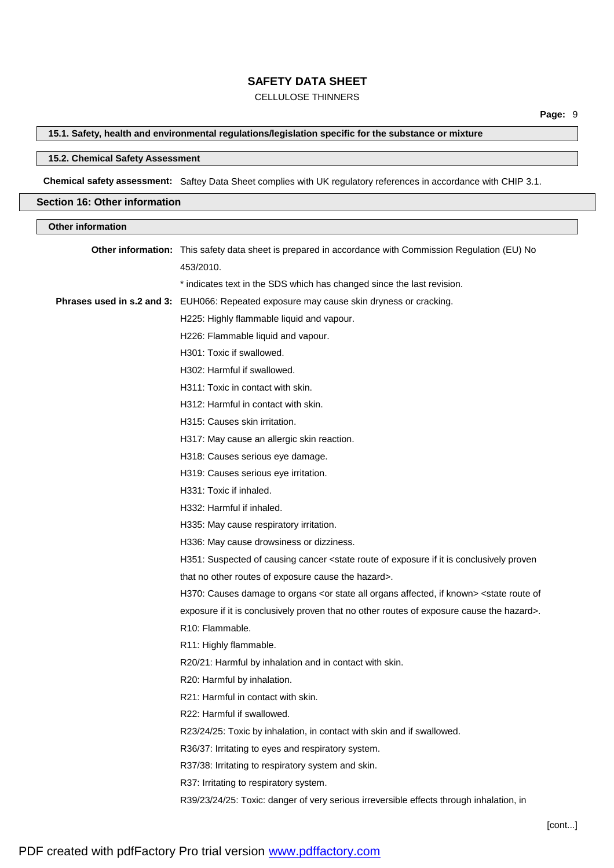# CELLULOSE THINNERS

# **15.1. Safety, health and environmental regulations/legislation specific for the substance or mixture**

### **15.2. Chemical Safety Assessment**

**Chemical safety assessment:** Saftey Data Sheet complies with UK regulatory references in accordance with CHIP 3.1.

## **Section 16: Other information**

| <b>Other information</b> |                                                                                                                                     |
|--------------------------|-------------------------------------------------------------------------------------------------------------------------------------|
|                          | Other information: This safety data sheet is prepared in accordance with Commission Regulation (EU) No<br>453/2010.                 |
|                          |                                                                                                                                     |
|                          | * indicates text in the SDS which has changed since the last revision.                                                              |
|                          | Phrases used in s.2 and 3: EUH066: Repeated exposure may cause skin dryness or cracking.                                            |
|                          | H225: Highly flammable liquid and vapour.                                                                                           |
|                          | H226: Flammable liquid and vapour.                                                                                                  |
|                          | H301: Toxic if swallowed.                                                                                                           |
|                          | H302: Harmful if swallowed.                                                                                                         |
|                          | H311: Toxic in contact with skin.                                                                                                   |
|                          | H312: Harmful in contact with skin.                                                                                                 |
|                          | H315: Causes skin irritation.                                                                                                       |
|                          | H317: May cause an allergic skin reaction.                                                                                          |
|                          | H318: Causes serious eye damage.                                                                                                    |
|                          | H319: Causes serious eye irritation.                                                                                                |
|                          | H331: Toxic if inhaled.                                                                                                             |
|                          | H332: Harmful if inhaled.                                                                                                           |
|                          | H335: May cause respiratory irritation.                                                                                             |
|                          | H336: May cause drowsiness or dizziness.                                                                                            |
|                          | H351: Suspected of causing cancer <state conclusively="" exposure="" if="" is="" it="" of="" proven<="" route="" th=""></state>     |
|                          | that no other routes of exposure cause the hazard>.                                                                                 |
|                          | H370: Causes damage to organs <or affected,="" all="" if="" known="" organs="" state=""> <state of<="" route="" th=""></state></or> |
|                          | exposure if it is conclusively proven that no other routes of exposure cause the hazard>.                                           |
|                          | R <sub>10</sub> : Flammable.                                                                                                        |
|                          | R11: Highly flammable.                                                                                                              |
|                          | R20/21: Harmful by inhalation and in contact with skin.                                                                             |
|                          | R20: Harmful by inhalation.                                                                                                         |
|                          | R21: Harmful in contact with skin.                                                                                                  |
|                          | R22: Harmful if swallowed.                                                                                                          |
|                          | R23/24/25: Toxic by inhalation, in contact with skin and if swallowed.                                                              |
|                          | R36/37: Irritating to eyes and respiratory system.                                                                                  |
|                          | R37/38: Irritating to respiratory system and skin.                                                                                  |
|                          | R37: Irritating to respiratory system.                                                                                              |
|                          | R39/23/24/25: Toxic: danger of very serious irreversible effects through inhalation, in                                             |
|                          |                                                                                                                                     |